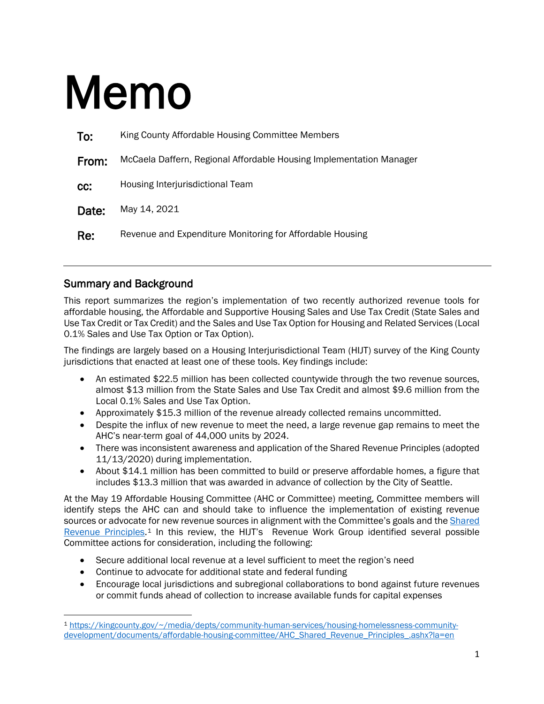# Memo

| To:   | King County Affordable Housing Committee Members                    |
|-------|---------------------------------------------------------------------|
| From: | McCaela Daffern, Regional Affordable Housing Implementation Manager |
| CC:   | Housing Interjurisdictional Team                                    |
| Date: | May 14, 2021                                                        |
| Re:   | Revenue and Expenditure Monitoring for Affordable Housing           |

#### Summary and Background

 $\overline{\phantom{a}}$ 

This report summarizes the region's implementation of two recently authorized revenue tools for affordable housing, the Affordable and Supportive Housing Sales and Use Tax Credit (State Sales and Use Tax Credit or Tax Credit) and the Sales and Use Tax Option for Housing and Related Services (Local 0.1% Sales and Use Tax Option or Tax Option).

The findings are largely based on a Housing Interjurisdictional Team (HIJT) survey of the King County jurisdictions that enacted at least one of these tools. Key findings include:

- An estimated \$22.5 million has been collected countywide through the two revenue sources, almost \$13 million from the State Sales and Use Tax Credit and almost \$9.6 million from the Local 0.1% Sales and Use Tax Option.
- Approximately \$15.3 million of the revenue already collected remains uncommitted.
- Despite the influx of new revenue to meet the need, a large revenue gap remains to meet the AHC's near-term goal of 44,000 units by 2024.
- There was inconsistent awareness and application of the Shared Revenue Principles (adopted 11/13/2020) during implementation.
- About \$14.1 million has been committed to build or preserve affordable homes, a figure that includes \$13.3 million that was awarded in advance of collection by the City of Seattle.

At the May 19 Affordable Housing Committee (AHC or Committee) meeting, Committee members will identify steps the AHC can and should take to influence the implementation of existing revenue sources or advocate for new revenue sources in alignment with the Committee's goals and the Shared [Revenue Principles.](https://kingcounty.gov/%7E/media/depts/community-human-services/housing-homelessness-community-development/documents/affordable-housing-committee/AHC_Shared_Revenue_Principles_.ashx?la=en)[1](#page-0-0) In this review, the HIJT's Revenue Work Group identified several possible Committee actions for consideration, including the following:

- Secure additional local revenue at a level sufficient to meet the region's need
- Continue to advocate for additional state and federal funding
- Encourage local jurisdictions and subregional collaborations to bond against future revenues or commit funds ahead of collection to increase available funds for capital expenses

<span id="page-0-0"></span><sup>1</sup> [https://kingcounty.gov/~/media/depts/community-human-services/housing-homelessness-community](https://kingcounty.gov/%7E/media/depts/community-human-services/housing-homelessness-community-development/documents/affordable-housing-committee/AHC_Shared_Revenue_Principles_.ashx?la=en)[development/documents/affordable-housing-committee/AHC\\_Shared\\_Revenue\\_Principles\\_.ashx?la=en](https://kingcounty.gov/%7E/media/depts/community-human-services/housing-homelessness-community-development/documents/affordable-housing-committee/AHC_Shared_Revenue_Principles_.ashx?la=en)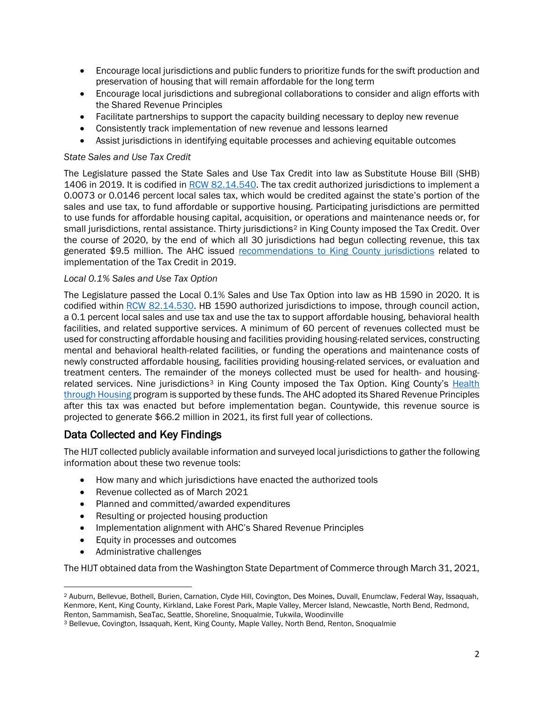- Encourage local jurisdictions and public funders to prioritize funds for the swift production and preservation of housing that will remain affordable for the long term
- Encourage local jurisdictions and subregional collaborations to consider and align efforts with the Shared Revenue Principles
- Facilitate partnerships to support the capacity building necessary to deploy new revenue
- Consistently track implementation of new revenue and lessons learned
- Assist jurisdictions in identifying equitable processes and achieving equitable outcomes

#### *State Sales and Use Tax Credit*

The Legislature passed the State Sales and Use Tax Credit into law as Substitute House Bill (SHB) 1406 in 2019. It is codified in [RCW 82.14.540.](https://app.leg.wa.gov/rcw/default.aspx?cite=82.14.540) The tax credit authorized jurisdictions to implement a 0.0073 or 0.0146 percent local sales tax, which would be credited against the state's portion of the sales and use tax, to fund affordable or supportive housing. Participating jurisdictions are permitted to use funds for affordable housing capital, acquisition, or operations and maintenance needs or, for small jurisdictions, rental assistance. Thirty jurisdictions<sup>[2](#page-1-0)</sup> in King County imposed the Tax Credit. Over the course of 2020, by the end of which all 30 jurisdictions had begun collecting revenue, this tax generated \$9.5 million. The AHC issued recommendations [to King County jurisdictions](https://kingcounty.gov/%7E/media/depts/community-human-services/housing-homelessness-community-development/documents/affordable-housing-committee/2021_AHC_StateLegislativeAgenda.ashx?la=en) related to implementation of the Tax Credit in 2019.

#### *Local 0.1% Sales and Use Tax Option*

The Legislature passed the Local 0.1% Sales and Use Tax Option into law as HB 1590 in 2020. It is codified within [RCW 82.14.530.](https://app.leg.wa.gov/rcw/default.aspx?cite=82.14.530) HB 1590 authorized jurisdictions to impose, through council action, a 0.1 percent local sales and use tax and use the tax to support affordable housing, behavioral health facilities, and related supportive services. A minimum of 60 percent of revenues collected must be used for constructing affordable housing and facilities providing housing-related services, constructing mental and behavioral health-related facilities, or funding the operations and maintenance costs of newly constructed affordable housing, facilities providing housing-related services, or evaluation and treatment centers. The remainder of the moneys collected must be used for health- and housing-related services. Nine jurisdictions<sup>[3](#page-1-1)</sup> in King County imposed the Tax Option. King County's Health [through Housing](https://kingcounty.gov/%7E/media/depts/community-human-services/housing-homelessness-community-development/documents/affordable-housing-committee/Meeting_03_24_2021/HTH_Implementation_Plan_Memo.ashx?la=en) program is supported by these funds. The AHC adopted its Shared Revenue Principles after this tax was enacted but before implementation began. Countywide, this revenue source is projected to generate \$66.2 million in 2021, its first full year of collections.

#### Data Collected and Key Findings

The HIJT collected publicly available information and surveyed local jurisdictions to gather the following information about these two revenue tools:

- How many and which jurisdictions have enacted the authorized tools
- Revenue collected as of March 2021
- Planned and committed/awarded expenditures
- Resulting or projected housing production
- Implementation alignment with AHC's Shared Revenue Principles
- Equity in processes and outcomes
- Administrative challenges

 $\overline{\phantom{a}}$ 

The HIJT obtained data from the Washington State Department of Commerce through March 31, 2021,

<span id="page-1-0"></span><sup>2</sup> Auburn, Bellevue, Bothell, Burien, Carnation, Clyde Hill, Covington, Des Moines, Duvall, Enumclaw, Federal Way, Issaquah, Kenmore, Kent, King County, Kirkland, Lake Forest Park, Maple Valley, Mercer Island, Newcastle, North Bend, Redmond, Renton, Sammamish, SeaTac, Seattle, Shoreline, Snoqualmie, Tukwila, Woodinville

<span id="page-1-1"></span><sup>3</sup> Bellevue, Covington, Issaquah, Kent, King County, Maple Valley, North Bend, Renton, Snoqualmie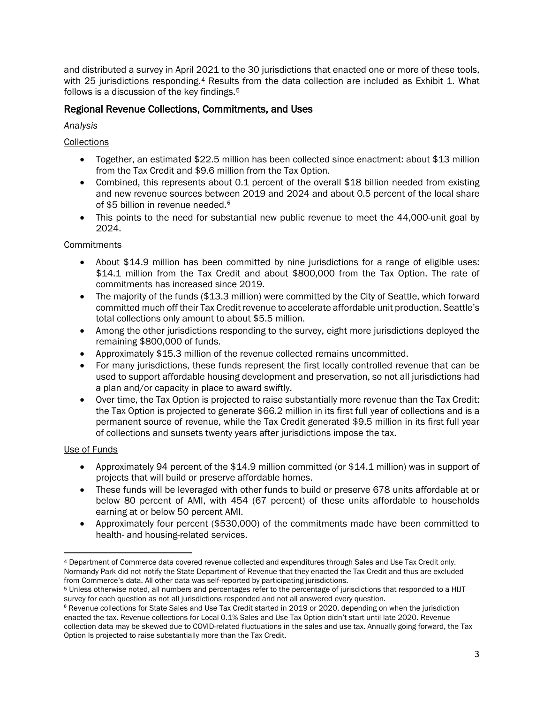and distributed a survey in April 2021 to the 30 jurisdictions that enacted one or more of these tools, with 25 jurisdictions responding.<sup>4</sup> Results from the data collection are included as Exhibit 1. What follows is a discussion of the key findings.[5](#page-2-1) 

#### Regional Revenue Collections, Commitments, and Uses

*Analysis*

#### **Collections**

- Together, an estimated \$22.5 million has been collected since enactment: about \$13 million from the Tax Credit and \$9.6 million from the Tax Option.
- Combined, this represents about 0.1 percent of the overall \$18 billion needed from existing and new revenue sources between 2019 and 2024 and about 0.5 percent of the local share of \$5 billion in revenue needed.<sup>[6](#page-2-2)</sup>
- This points to the need for substantial new public revenue to meet the 44,000-unit goal by 2024.

#### **Commitments**

- About \$14.9 million has been committed by nine jurisdictions for a range of eligible uses: \$14.1 million from the Tax Credit and about \$800,000 from the Tax Option. The rate of commitments has increased since 2019.
- The majority of the funds (\$13.3 million) were committed by the City of Seattle, which forward committed much off their Tax Credit revenue to accelerate affordable unit production. Seattle's total collections only amount to about \$5.5 million.
- Among the other jurisdictions responding to the survey, eight more jurisdictions deployed the remaining \$800,000 of funds.
- Approximately \$15.3 million of the revenue collected remains uncommitted.
- For many jurisdictions, these funds represent the first locally controlled revenue that can be used to support affordable housing development and preservation, so not all jurisdictions had a plan and/or capacity in place to award swiftly.
- Over time, the Tax Option is projected to raise substantially more revenue than the Tax Credit: the Tax Option is projected to generate \$66.2 million in its first full year of collections and is a permanent source of revenue, while the Tax Credit generated \$9.5 million in its first full year of collections and sunsets twenty years after jurisdictions impose the tax.

#### Use of Funds

- Approximately 94 percent of the \$14.9 million committed (or \$14.1 million) was in support of projects that will build or preserve affordable homes.
- These funds will be leveraged with other funds to build or preserve 678 units affordable at or below 80 percent of AMI, with 454 (67 percent) of these units affordable to households earning at or below 50 percent AMI.
- Approximately four percent (\$530,000) of the commitments made have been committed to health- and housing-related services.

<span id="page-2-0"></span> $\overline{a}$ <sup>4</sup> Department of Commerce data covered revenue collected and expenditures through Sales and Use Tax Credit only. Normandy Park did not notify the State Department of Revenue that they enacted the Tax Credit and thus are excluded<br>from Commerce's data. All other data was self-reported by participating jurisdictions.

<span id="page-2-1"></span><sup>&</sup>lt;sup>5</sup> Unless otherwise noted, all numbers and percentages refer to the percentage of jurisdictions that responded to a HIJT survey for each question as not all jurisdictions responded and not all answered every question.

<span id="page-2-2"></span><sup>6</sup> Revenue collections for State Sales and Use Tax Credit started in 2019 or 2020, depending on when the jurisdiction enacted the tax. Revenue collections for Local 0.1% Sales and Use Tax Option didn't start until late 2020. Revenue collection data may be skewed due to COVID-related fluctuations in the sales and use tax. Annually going forward, the Tax Option Is projected to raise substantially more than the Tax Credit.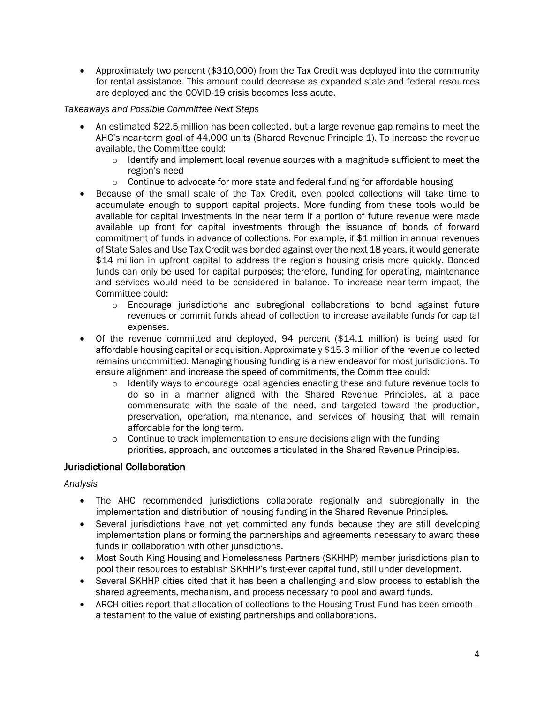• Approximately two percent (\$310,000) from the Tax Credit was deployed into the community for rental assistance. This amount could decrease as expanded state and federal resources are deployed and the COVID-19 crisis becomes less acute.

*Takeaways and Possible Committee Next Steps*

- An estimated \$22.5 million has been collected, but a large revenue gap remains to meet the AHC's near-term goal of 44,000 units (Shared Revenue Principle 1). To increase the revenue available, the Committee could:
	- $\circ$  Identify and implement local revenue sources with a magnitude sufficient to meet the region's need
	- $\circ$  Continue to advocate for more state and federal funding for affordable housing
- Because of the small scale of the Tax Credit, even pooled collections will take time to accumulate enough to support capital projects. More funding from these tools would be available for capital investments in the near term if a portion of future revenue were made available up front for capital investments through the issuance of bonds of forward commitment of funds in advance of collections. For example, if \$1 million in annual revenues of State Sales and Use Tax Credit was bonded against over the next 18 years, it would generate \$14 million in upfront capital to address the region's housing crisis more quickly. Bonded funds can only be used for capital purposes; therefore, funding for operating, maintenance and services would need to be considered in balance. To increase near-term impact, the Committee could:
	- $\circ$  Encourage jurisdictions and subregional collaborations to bond against future revenues or commit funds ahead of collection to increase available funds for capital expenses.
- Of the revenue committed and deployed,  $94$  percent (\$14.1 million) is being used for affordable housing capital or acquisition. Approximately \$15.3 million of the revenue collected remains uncommitted. Managing housing funding is a new endeavor for most jurisdictions. To ensure alignment and increase the speed of commitments, the Committee could:
	- o Identify ways to encourage local agencies enacting these and future revenue tools to do so in a manner aligned with the Shared Revenue Principles, at a pace commensurate with the scale of the need, and targeted toward the production, preservation, operation, maintenance, and services of housing that will remain affordable for the long term.
	- $\circ$  Continue to track implementation to ensure decisions align with the funding priorities, approach, and outcomes articulated in the Shared Revenue Principles.

#### Jurisdictional Collaboration

*Analysis*

- The AHC recommended jurisdictions collaborate regionally and subregionally in the implementation and distribution of housing funding in the Shared Revenue Principles.
- Several jurisdictions have not yet committed any funds because they are still developing implementation plans or forming the partnerships and agreements necessary to award these funds in collaboration with other jurisdictions.
- Most South King Housing and Homelessness Partners (SKHHP) member jurisdictions plan to pool their resources to establish SKHHP's first-ever capital fund, still under development.
- Several SKHHP cities cited that it has been a challenging and slow process to establish the shared agreements, mechanism, and process necessary to pool and award funds.
- ARCH cities report that allocation of collections to the Housing Trust Fund has been smooth a testament to the value of existing partnerships and collaborations.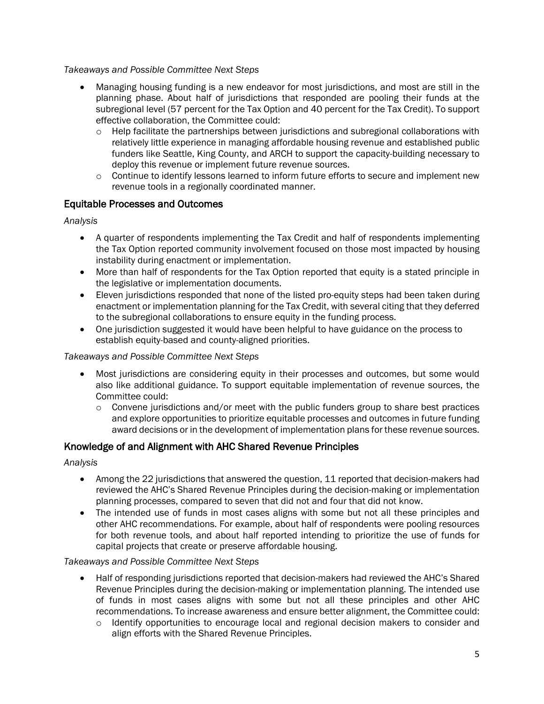*Takeaways and Possible Committee Next Steps*

- Managing housing funding is a new endeavor for most jurisdictions, and most are still in the planning phase. About half of jurisdictions that responded are pooling their funds at the subregional level (57 percent for the Tax Option and 40 percent for the Tax Credit). To support effective collaboration, the Committee could:
	- $\circ$  Help facilitate the partnerships between jurisdictions and subregional collaborations with relatively little experience in managing affordable housing revenue and established public funders like Seattle, King County, and ARCH to support the capacity-building necessary to deploy this revenue or implement future revenue sources.
	- $\circ$  Continue to identify lessons learned to inform future efforts to secure and implement new revenue tools in a regionally coordinated manner.

#### Equitable Processes and Outcomes

*Analysis*

- A quarter of respondents implementing the Tax Credit and half of respondents implementing the Tax Option reported community involvement focused on those most impacted by housing instability during enactment or implementation.
- More than half of respondents for the Tax Option reported that equity is a stated principle in the legislative or implementation documents.
- Eleven jurisdictions responded that none of the listed pro-equity steps had been taken during enactment or implementation planning for the Tax Credit, with several citing that they deferred to the subregional collaborations to ensure equity in the funding process.
- One jurisdiction suggested it would have been helpful to have guidance on the process to establish equity-based and county-aligned priorities.

#### *Takeaways and Possible Committee Next Steps*

- Most jurisdictions are considering equity in their processes and outcomes, but some would also like additional guidance. To support equitable implementation of revenue sources, the Committee could:
	- $\circ$  Convene jurisdictions and/or meet with the public funders group to share best practices and explore opportunities to prioritize equitable processes and outcomes in future funding award decisions or in the development of implementation plans for these revenue sources.

#### Knowledge of and Alignment with AHC Shared Revenue Principles

#### *Analysis*

- Among the 22 jurisdictions that answered the question, 11 reported that decision-makers had reviewed the AHC's Shared Revenue Principles during the decision-making or implementation planning processes, compared to seven that did not and four that did not know.
- The intended use of funds in most cases aligns with some but not all these principles and other AHC recommendations. For example, about half of respondents were pooling resources for both revenue tools, and about half reported intending to prioritize the use of funds for capital projects that create or preserve affordable housing.

#### *Takeaways and Possible Committee Next Steps*

- Half of responding jurisdictions reported that decision-makers had reviewed the AHC's Shared Revenue Principles during the decision-making or implementation planning. The intended use of funds in most cases aligns with some but not all these principles and other AHC recommendations. To increase awareness and ensure better alignment, the Committee could:
	- o Identify opportunities to encourage local and regional decision makers to consider and align efforts with the Shared Revenue Principles.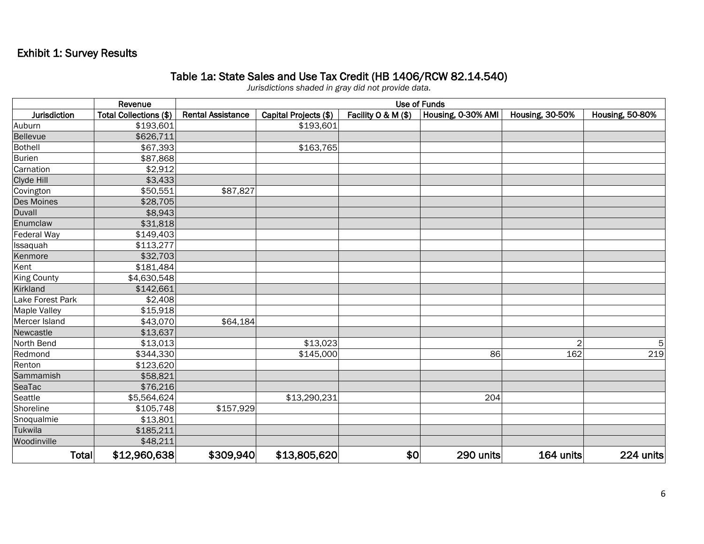# Exhibit 1: Survey Results

#### Table 1a: State Sales and Use Tax Credit (HB 1406/RCW 82.14.540)

*Jurisdictions shaded in gray did not provide data.*

|                    | Revenue                | <b>Use of Funds</b>      |                       |                     |                    |                        |                        |  |
|--------------------|------------------------|--------------------------|-----------------------|---------------------|--------------------|------------------------|------------------------|--|
| Jurisdiction       | Total Collections (\$) | <b>Rental Assistance</b> | Capital Projects (\$) | Facility O & M (\$) | Housing, 0-30% AMI | <b>Housing, 30-50%</b> | <b>Housing, 50-80%</b> |  |
| Auburn             | \$193,601              |                          | \$193,601             |                     |                    |                        |                        |  |
| Bellevue           | \$626,711              |                          |                       |                     |                    |                        |                        |  |
| <b>Bothell</b>     | \$67,393               |                          | \$163,765             |                     |                    |                        |                        |  |
| <b>Burien</b>      | \$87,868               |                          |                       |                     |                    |                        |                        |  |
| Carnation          | \$2,912                |                          |                       |                     |                    |                        |                        |  |
| Clyde Hill         | \$3,433                |                          |                       |                     |                    |                        |                        |  |
| Covington          | \$50,551               | \$87,827                 |                       |                     |                    |                        |                        |  |
| Des Moines         | \$28,705               |                          |                       |                     |                    |                        |                        |  |
| Duvall             | \$8,943                |                          |                       |                     |                    |                        |                        |  |
| Enumclaw           | \$31,818               |                          |                       |                     |                    |                        |                        |  |
| Federal Way        | \$149,403              |                          |                       |                     |                    |                        |                        |  |
| Issaquah           | \$113,277              |                          |                       |                     |                    |                        |                        |  |
| Kenmore            | \$32,703               |                          |                       |                     |                    |                        |                        |  |
| Kent               | \$181,484              |                          |                       |                     |                    |                        |                        |  |
| <b>King County</b> | \$4,630,548            |                          |                       |                     |                    |                        |                        |  |
| Kirkland           | \$142,661              |                          |                       |                     |                    |                        |                        |  |
| Lake Forest Park   | \$2,408                |                          |                       |                     |                    |                        |                        |  |
| Maple Valley       | \$15,918               |                          |                       |                     |                    |                        |                        |  |
| Mercer Island      | \$43,070               | \$64,184                 |                       |                     |                    |                        |                        |  |
| Newcastle          | \$13,637               |                          |                       |                     |                    |                        |                        |  |
| North Bend         | \$13,013               |                          | \$13,023              |                     |                    | 2                      | 5                      |  |
| Redmond            | \$344,330              |                          | \$145,000             |                     | 86                 | 162                    | 219                    |  |
| Renton             | \$123,620              |                          |                       |                     |                    |                        |                        |  |
| Sammamish          | \$58,821               |                          |                       |                     |                    |                        |                        |  |
| SeaTac             | \$76,216               |                          |                       |                     |                    |                        |                        |  |
| Seattle            | \$5,564,624            |                          | \$13,290,231          |                     | 204                |                        |                        |  |
| Shoreline          | \$105,748              | $\sqrt{$157,929}$        |                       |                     |                    |                        |                        |  |
| Snoqualmie         | \$13,801               |                          |                       |                     |                    |                        |                        |  |
| Tukwila            | \$185,211              |                          |                       |                     |                    |                        |                        |  |
| Woodinville        | \$48,211               |                          |                       |                     |                    |                        |                        |  |
| Total              | \$12,960,638           | \$309,940                | \$13,805,620          | \$0                 | 290 units          | 164 units              | 224 units              |  |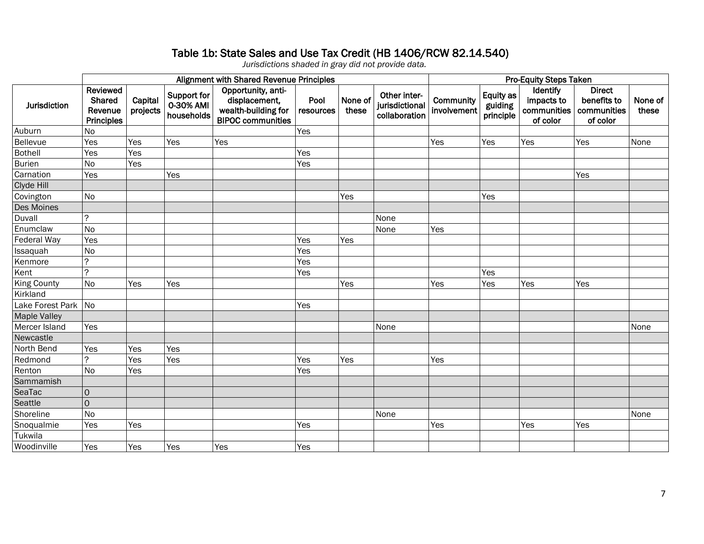### Table 1b: State Sales and Use Tax Credit (HB 1406/RCW 82.14.540)

*Jurisdictions shaded in gray did not provide data.*

|                     | Alignment with Shared Revenue Principles                  |                     |                                               |                                                                                        |                   |                  |                                                 | <b>Pro-Equity Steps Taken</b> |                                   |                                                   |                                                         |                  |
|---------------------|-----------------------------------------------------------|---------------------|-----------------------------------------------|----------------------------------------------------------------------------------------|-------------------|------------------|-------------------------------------------------|-------------------------------|-----------------------------------|---------------------------------------------------|---------------------------------------------------------|------------------|
| <b>Jurisdiction</b> | Reviewed<br><b>Shared</b><br>Revenue<br><b>Principles</b> | Capital<br>projects | <b>Support for</b><br>0-30% AMI<br>households | Opportunity, anti-<br>displacement,<br>wealth-building for<br><b>BIPOC communities</b> | Pool<br>resources | None of<br>these | Other inter-<br>jurisdictional<br>collaboration | Community<br>involvement      | Equity as<br>guiding<br>principle | Identify<br>impacts to<br>communities<br>of color | <b>Direct</b><br>benefits to<br>communities<br>of color | None of<br>these |
| Auburn              | <b>No</b>                                                 |                     |                                               |                                                                                        | Yes               |                  |                                                 |                               |                                   |                                                   |                                                         |                  |
| Bellevue            | Yes                                                       | Yes                 | Yes                                           | Yes                                                                                    |                   |                  |                                                 | Yes                           | Yes                               | Yes                                               | Yes                                                     | None             |
| <b>Bothell</b>      | Yes                                                       | Yes                 |                                               |                                                                                        | Yes               |                  |                                                 |                               |                                   |                                                   |                                                         |                  |
| <b>Burien</b>       | <b>No</b>                                                 | Yes                 |                                               |                                                                                        | Yes               |                  |                                                 |                               |                                   |                                                   |                                                         |                  |
| Carnation           | Yes                                                       |                     | Yes                                           |                                                                                        |                   |                  |                                                 |                               |                                   |                                                   | Yes                                                     |                  |
| Clyde Hill          |                                                           |                     |                                               |                                                                                        |                   |                  |                                                 |                               |                                   |                                                   |                                                         |                  |
| Covington           | <b>No</b>                                                 |                     |                                               |                                                                                        |                   | Yes              |                                                 |                               | Yes                               |                                                   |                                                         |                  |
| Des Moines          |                                                           |                     |                                               |                                                                                        |                   |                  |                                                 |                               |                                   |                                                   |                                                         |                  |
| Duvall              | $\tilde{?}$                                               |                     |                                               |                                                                                        |                   |                  | None                                            |                               |                                   |                                                   |                                                         |                  |
| Enumclaw            | <b>No</b>                                                 |                     |                                               |                                                                                        |                   |                  | None                                            | Yes                           |                                   |                                                   |                                                         |                  |
| Federal Way         | Yes                                                       |                     |                                               |                                                                                        | Yes               | Yes              |                                                 |                               |                                   |                                                   |                                                         |                  |
| Issaquah            | No                                                        |                     |                                               |                                                                                        | Yes               |                  |                                                 |                               |                                   |                                                   |                                                         |                  |
| Kenmore             | $\tilde{?}$                                               |                     |                                               |                                                                                        | Yes               |                  |                                                 |                               |                                   |                                                   |                                                         |                  |
| Kent                | $\gamma$                                                  |                     |                                               |                                                                                        | Yes               |                  |                                                 |                               | Yes                               |                                                   |                                                         |                  |
| King County         | <b>No</b>                                                 | Yes                 | Yes                                           |                                                                                        |                   | Yes              |                                                 | Yes                           | Yes                               | Yes                                               | Yes                                                     |                  |
| Kirkland            |                                                           |                     |                                               |                                                                                        |                   |                  |                                                 |                               |                                   |                                                   |                                                         |                  |
| Lake Forest Park No |                                                           |                     |                                               |                                                                                        | Yes               |                  |                                                 |                               |                                   |                                                   |                                                         |                  |
| <b>Maple Valley</b> |                                                           |                     |                                               |                                                                                        |                   |                  |                                                 |                               |                                   |                                                   |                                                         |                  |
| Mercer Island       | Yes                                                       |                     |                                               |                                                                                        |                   |                  | None                                            |                               |                                   |                                                   |                                                         | None             |
| Newcastle           |                                                           |                     |                                               |                                                                                        |                   |                  |                                                 |                               |                                   |                                                   |                                                         |                  |
| North Bend          | Yes                                                       | Yes                 | Yes                                           |                                                                                        |                   |                  |                                                 |                               |                                   |                                                   |                                                         |                  |
| Redmond             | $\tilde{?}$                                               | Yes                 | Yes                                           |                                                                                        | Yes               | Yes              |                                                 | Yes                           |                                   |                                                   |                                                         |                  |
| Renton              | <b>No</b>                                                 | Yes                 |                                               |                                                                                        | Yes               |                  |                                                 |                               |                                   |                                                   |                                                         |                  |
| Sammamish           |                                                           |                     |                                               |                                                                                        |                   |                  |                                                 |                               |                                   |                                                   |                                                         |                  |
| SeaTac              | $\overline{O}$                                            |                     |                                               |                                                                                        |                   |                  |                                                 |                               |                                   |                                                   |                                                         |                  |
| Seattle             | $\mathsf{O}$                                              |                     |                                               |                                                                                        |                   |                  |                                                 |                               |                                   |                                                   |                                                         |                  |
| Shoreline           | <b>No</b>                                                 |                     |                                               |                                                                                        |                   |                  | None                                            |                               |                                   |                                                   |                                                         | None             |
| Snoqualmie          | Yes                                                       | Yes                 |                                               |                                                                                        | Yes               |                  |                                                 | Yes                           |                                   | Yes                                               | Yes                                                     |                  |
| Tukwila             |                                                           |                     |                                               |                                                                                        |                   |                  |                                                 |                               |                                   |                                                   |                                                         |                  |
| Woodinville         | Yes                                                       | Yes                 | Yes                                           | Yes                                                                                    | Yes               |                  |                                                 |                               |                                   |                                                   |                                                         |                  |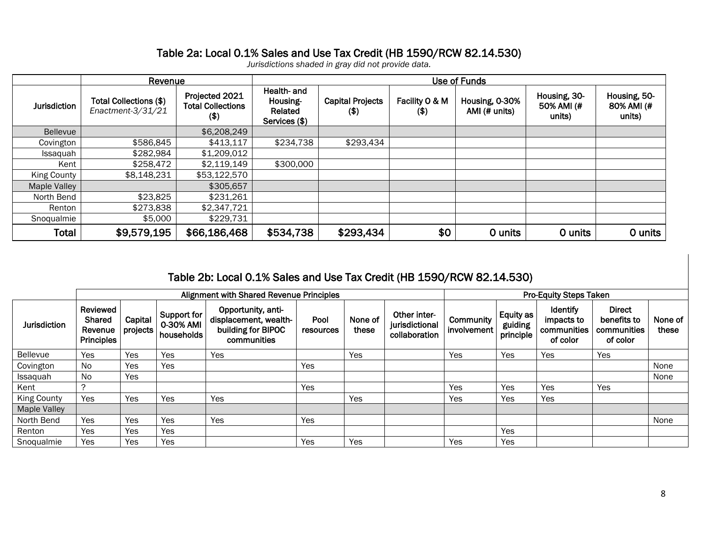## Table 2a: Local 0.1% Sales and Use Tax Credit (HB 1590/RCW 82.14.530)

*Jurisdictions shaded in gray did not provide data.*

|                     | Revenue                                     |                                                       | Use of Funds                                        |                                    |                           |                                 |                                      |                                      |  |
|---------------------|---------------------------------------------|-------------------------------------------------------|-----------------------------------------------------|------------------------------------|---------------------------|---------------------------------|--------------------------------------|--------------------------------------|--|
| <b>Jurisdiction</b> | Total Collections (\$)<br>Enactment-3/31/21 | Projected 2021<br><b>Total Collections</b><br>$($ \$) | Health- and<br>Housing-<br>Related<br>Services (\$) | <b>Capital Projects</b><br>$($ \$) | Facility O & M<br>$($ \$) | Housing, 0-30%<br>AMI (# units) | Housing, 30-<br>50% AMI (#<br>units) | Housing, 50-<br>80% AMI (#<br>units) |  |
| <b>Bellevue</b>     |                                             | \$6,208,249                                           |                                                     |                                    |                           |                                 |                                      |                                      |  |
| Covington           | \$586,845                                   | \$413,117                                             | \$234,738                                           | \$293,434                          |                           |                                 |                                      |                                      |  |
| Issaquah            | \$282,984                                   | \$1,209,012                                           |                                                     |                                    |                           |                                 |                                      |                                      |  |
| Kent                | \$258,472                                   | \$2,119,149                                           | \$300,000                                           |                                    |                           |                                 |                                      |                                      |  |
| King County         | \$8,148,231                                 | \$53,122,570                                          |                                                     |                                    |                           |                                 |                                      |                                      |  |
| <b>Maple Valley</b> |                                             | \$305,657                                             |                                                     |                                    |                           |                                 |                                      |                                      |  |
| North Bend          | \$23,825                                    | \$231,261                                             |                                                     |                                    |                           |                                 |                                      |                                      |  |
| Renton              | \$273,838                                   | \$2,347,721                                           |                                                     |                                    |                           |                                 |                                      |                                      |  |
| Snoqualmie          | \$5,000                                     | \$229,731                                             |                                                     |                                    |                           |                                 |                                      |                                      |  |
| Total               | \$9,579,195                                 | \$66,186,468                                          | \$534,738                                           | \$293,434                          | \$0                       | 0 units                         | 0 units                              | 0 units                              |  |

# Table 2b: Local 0.1% Sales and Use Tax Credit (HB 1590/RCW 82.14.530)

|                     |                                                    |                     |                                        | <b>Alignment with Shared Revenue Principles</b>                                  |                   | <b>Pro-Equity Steps Taken</b> |                                                 |                          |                                   |                                                   |                                                         |                  |
|---------------------|----------------------------------------------------|---------------------|----------------------------------------|----------------------------------------------------------------------------------|-------------------|-------------------------------|-------------------------------------------------|--------------------------|-----------------------------------|---------------------------------------------------|---------------------------------------------------------|------------------|
| <b>Jurisdiction</b> | Reviewed<br><b>Shared</b><br>Revenue<br>Principles | Capital<br>projects | Support for<br>0-30% AMI<br>households | Opportunity, anti-<br>displacement, wealth-<br>building for BIPOC<br>communities | Pool<br>resources | None of<br>these              | Other inter-<br>jurisdictional<br>collaboration | Community<br>involvement | Equity as<br>guiding<br>principle | Identify<br>impacts to<br>communities<br>of color | <b>Direct</b><br>benefits to<br>communities<br>of color | None of<br>these |
| <b>Bellevue</b>     | Yes                                                | Yes                 | Yes                                    | Yes                                                                              |                   | Yes                           |                                                 | Yes                      | Yes                               | Yes                                               | Yes                                                     |                  |
| Covington           | No.                                                | Yes                 | Yes                                    |                                                                                  | Yes               |                               |                                                 |                          |                                   |                                                   |                                                         | None             |
| Issaquah            | No                                                 | Yes                 |                                        |                                                                                  |                   |                               |                                                 |                          |                                   |                                                   |                                                         | None             |
| Kent                |                                                    |                     |                                        |                                                                                  | Yes               |                               |                                                 | Yes                      | Yes                               | Yes                                               | Yes                                                     |                  |
| <b>King County</b>  | Yes                                                | Yes                 | Yes                                    | Yes                                                                              |                   | Yes                           |                                                 | Yes                      | Yes                               | Yes                                               |                                                         |                  |
| <b>Maple Valley</b> |                                                    |                     |                                        |                                                                                  |                   |                               |                                                 |                          |                                   |                                                   |                                                         |                  |
| North Bend          | Yes                                                | Yes                 | Yes                                    | Yes                                                                              | Yes               |                               |                                                 |                          |                                   |                                                   |                                                         | None             |
| Renton              | Yes                                                | Yes                 | Yes                                    |                                                                                  |                   |                               |                                                 |                          | Yes                               |                                                   |                                                         |                  |
| Snoqualmie          | Yes                                                | Yes                 | Yes                                    |                                                                                  | Yes               | Yes                           |                                                 | Yes                      | Yes                               |                                                   |                                                         |                  |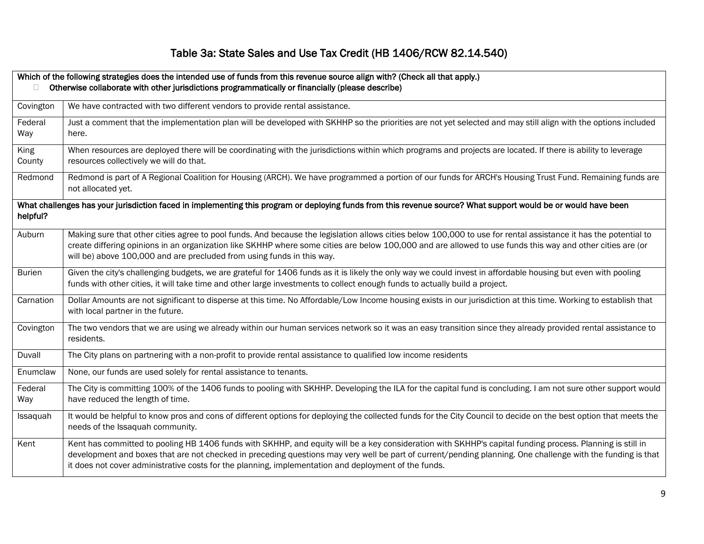# Table 3a: State Sales and Use Tax Credit (HB 1406/RCW 82.14.540)

|                | Which of the following strategies does the intended use of funds from this revenue source align with? (Check all that apply.)                                                                                                                                                                                                                                                                                                    |
|----------------|----------------------------------------------------------------------------------------------------------------------------------------------------------------------------------------------------------------------------------------------------------------------------------------------------------------------------------------------------------------------------------------------------------------------------------|
|                | Otherwise collaborate with other jurisdictions programmatically or financially (please describe)                                                                                                                                                                                                                                                                                                                                 |
| Covington      | We have contracted with two different vendors to provide rental assistance.                                                                                                                                                                                                                                                                                                                                                      |
| Federal<br>Way | Just a comment that the implementation plan will be developed with SKHHP so the priorities are not yet selected and may still align with the options included<br>here.                                                                                                                                                                                                                                                           |
| King<br>County | When resources are deployed there will be coordinating with the jurisdictions within which programs and projects are located. If there is ability to leverage<br>resources collectively we will do that.                                                                                                                                                                                                                         |
| Redmond        | Redmond is part of A Regional Coalition for Housing (ARCH). We have programmed a portion of our funds for ARCH's Housing Trust Fund. Remaining funds are<br>not allocated yet.                                                                                                                                                                                                                                                   |
| helpful?       | What challenges has your jurisdiction faced in implementing this program or deploying funds from this revenue source? What support would be or would have been                                                                                                                                                                                                                                                                   |
| Auburn         | Making sure that other cities agree to pool funds. And because the legislation allows cities below 100,000 to use for rental assistance it has the potential to<br>create differing opinions in an organization like SKHHP where some cities are below 100,000 and are allowed to use funds this way and other cities are (or<br>will be) above 100,000 and are precluded from using funds in this way.                          |
| <b>Burien</b>  | Given the city's challenging budgets, we are grateful for 1406 funds as it is likely the only way we could invest in affordable housing but even with pooling<br>funds with other cities, it will take time and other large investments to collect enough funds to actually build a project.                                                                                                                                     |
| Carnation      | Dollar Amounts are not significant to disperse at this time. No Affordable/Low Income housing exists in our jurisdiction at this time. Working to establish that<br>with local partner in the future.                                                                                                                                                                                                                            |
| Covington      | The two vendors that we are using we already within our human services network so it was an easy transition since they already provided rental assistance to<br>residents.                                                                                                                                                                                                                                                       |
| Duvall         | The City plans on partnering with a non-profit to provide rental assistance to qualified low income residents                                                                                                                                                                                                                                                                                                                    |
| Enumclaw       | None, our funds are used solely for rental assistance to tenants.                                                                                                                                                                                                                                                                                                                                                                |
| Federal        | The City is committing 100% of the 1406 funds to pooling with SKHHP. Developing the ILA for the capital fund is concluding. I am not sure other support would                                                                                                                                                                                                                                                                    |
| Way            | have reduced the length of time.                                                                                                                                                                                                                                                                                                                                                                                                 |
| Issaquah       | It would be helpful to know pros and cons of different options for deploying the collected funds for the City Council to decide on the best option that meets the<br>needs of the Issaquah community.                                                                                                                                                                                                                            |
| Kent           | Kent has committed to pooling HB 1406 funds with SKHHP, and equity will be a key consideration with SKHHP's capital funding process. Planning is still in<br>development and boxes that are not checked in preceding questions may very well be part of current/pending planning. One challenge with the funding is that<br>it does not cover administrative costs for the planning, implementation and deployment of the funds. |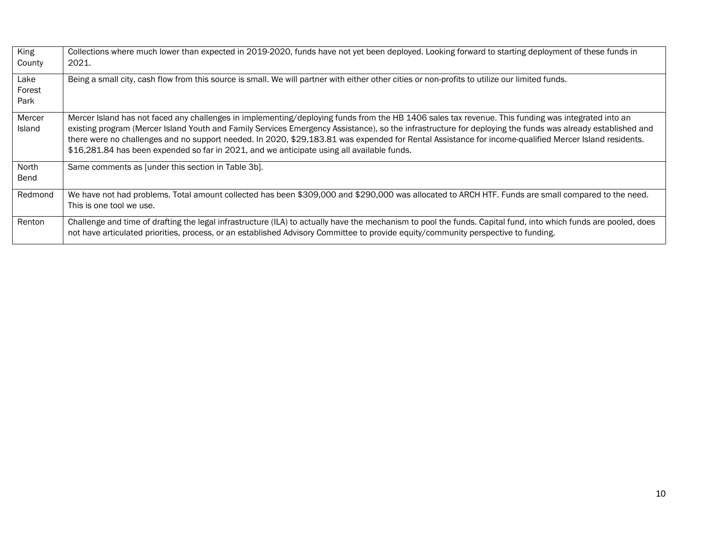| King<br>County          | Collections where much lower than expected in 2019-2020, funds have not yet been deployed. Looking forward to starting deployment of these funds in<br>2021.                                                                                                                                                                                                                                                                                                                                                                                                            |
|-------------------------|-------------------------------------------------------------------------------------------------------------------------------------------------------------------------------------------------------------------------------------------------------------------------------------------------------------------------------------------------------------------------------------------------------------------------------------------------------------------------------------------------------------------------------------------------------------------------|
| Lake<br>Forest<br>Park  | Being a small city, cash flow from this source is small. We will partner with either other cities or non-profits to utilize our limited funds.                                                                                                                                                                                                                                                                                                                                                                                                                          |
| Mercer<br><b>Island</b> | Mercer Island has not faced any challenges in implementing/deploying funds from the HB 1406 sales tax revenue. This funding was integrated into an<br>existing program (Mercer Island Youth and Family Services Emergency Assistance), so the infrastructure for deploying the funds was already established and<br>there were no challenges and no support needed. In 2020, \$29,183.81 was expended for Rental Assistance for income-qualified Mercer Island residents.<br>\$16,281.84 has been expended so far in 2021, and we anticipate using all available funds. |
| North<br>Bend           | Same comments as [under this section in Table 3b].                                                                                                                                                                                                                                                                                                                                                                                                                                                                                                                      |
| Redmond                 | We have not had problems. Total amount collected has been \$309,000 and \$290,000 was allocated to ARCH HTF. Funds are small compared to the need.<br>This is one tool we use.                                                                                                                                                                                                                                                                                                                                                                                          |
| Renton                  | Challenge and time of drafting the legal infrastructure (ILA) to actually have the mechanism to pool the funds. Capital fund, into which funds are pooled, does<br>not have articulated priorities, process, or an established Advisory Committee to provide equity/community perspective to funding.                                                                                                                                                                                                                                                                   |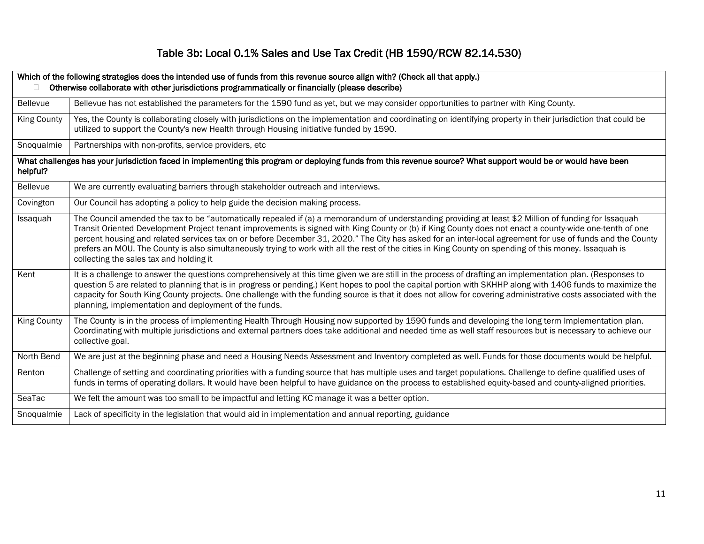# Table 3b: Local 0.1% Sales and Use Tax Credit (HB 1590/RCW 82.14.530)

| $\Box$             | Which of the following strategies does the intended use of funds from this revenue source align with? (Check all that apply.)<br>Otherwise collaborate with other jurisdictions programmatically or financially (please describe)                                                                                                                                                                                                                                                                                                                                                                                                                                                  |
|--------------------|------------------------------------------------------------------------------------------------------------------------------------------------------------------------------------------------------------------------------------------------------------------------------------------------------------------------------------------------------------------------------------------------------------------------------------------------------------------------------------------------------------------------------------------------------------------------------------------------------------------------------------------------------------------------------------|
| Bellevue           | Bellevue has not established the parameters for the 1590 fund as yet, but we may consider opportunities to partner with King County.                                                                                                                                                                                                                                                                                                                                                                                                                                                                                                                                               |
| <b>King County</b> | Yes, the County is collaborating closely with jurisdictions on the implementation and coordinating on identifying property in their jurisdiction that could be<br>utilized to support the County's new Health through Housing initiative funded by 1590.                                                                                                                                                                                                                                                                                                                                                                                                                           |
| Snoqualmie         | Partnerships with non-profits, service providers, etc                                                                                                                                                                                                                                                                                                                                                                                                                                                                                                                                                                                                                              |
| helpful?           | What challenges has your jurisdiction faced in implementing this program or deploying funds from this revenue source? What support would be or would have been                                                                                                                                                                                                                                                                                                                                                                                                                                                                                                                     |
| <b>Bellevue</b>    | We are currently evaluating barriers through stakeholder outreach and interviews.                                                                                                                                                                                                                                                                                                                                                                                                                                                                                                                                                                                                  |
| Covington          | Our Council has adopting a policy to help guide the decision making process.                                                                                                                                                                                                                                                                                                                                                                                                                                                                                                                                                                                                       |
| Issaquah           | The Council amended the tax to be "automatically repealed if (a) a memorandum of understanding providing at least \$2 Million of funding for Issaquah<br>Transit Oriented Development Project tenant improvements is signed with King County or (b) if King County does not enact a county-wide one-tenth of one<br>percent housing and related services tax on or before December 31, 2020." The City has asked for an inter-local agreement for use of funds and the County<br>prefers an MOU. The County is also simultaneously trying to work with all the rest of the cities in King County on spending of this money. Issaquah is<br>collecting the sales tax and holding it |
| Kent               | It is a challenge to answer the questions comprehensively at this time given we are still in the process of drafting an implementation plan. (Responses to<br>question 5 are related to planning that is in progress or pending.) Kent hopes to pool the capital portion with SKHHP along with 1406 funds to maximize the<br>capacity for South King County projects. One challenge with the funding source is that it does not allow for covering administrative costs associated with the<br>planning, implementation and deployment of the funds.                                                                                                                               |
| <b>King County</b> | The County is in the process of implementing Health Through Housing now supported by 1590 funds and developing the long term Implementation plan.<br>Coordinating with multiple jurisdictions and external partners does take additional and needed time as well staff resources but is necessary to achieve our<br>collective goal.                                                                                                                                                                                                                                                                                                                                               |
| North Bend         | We are just at the beginning phase and need a Housing Needs Assessment and Inventory completed as well. Funds for those documents would be helpful.                                                                                                                                                                                                                                                                                                                                                                                                                                                                                                                                |
| Renton             | Challenge of setting and coordinating priorities with a funding source that has multiple uses and target populations. Challenge to define qualified uses of<br>funds in terms of operating dollars. It would have been helpful to have guidance on the process to established equity-based and county-aligned priorities.                                                                                                                                                                                                                                                                                                                                                          |
| SeaTac             | We felt the amount was too small to be impactful and letting KC manage it was a better option.                                                                                                                                                                                                                                                                                                                                                                                                                                                                                                                                                                                     |
| Snoqualmie         | Lack of specificity in the legislation that would aid in implementation and annual reporting, guidance                                                                                                                                                                                                                                                                                                                                                                                                                                                                                                                                                                             |